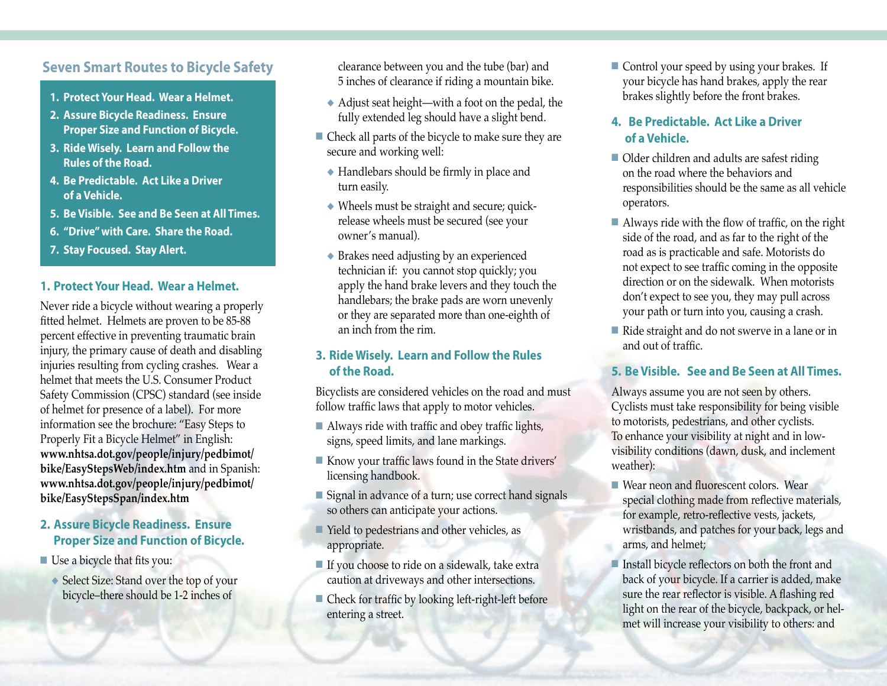# **Seven Smart Routes to Bicycle Safety**

- **1. Protect Your Head. Wear a Helmet.**
- **2. Assure Bicycle Readiness. Ensure Proper Size and Function of Bicycle.**
- **3. Ride Wisely. Learn and Follow the Rules of the Road.**
- **4. Be Predictable. Act Like a Driver of a Vehicle.**
- **5. Be Visible. See and Be Seen at All Times.**
- **6. "Drive" with Care. Share the Road.**
- **7. Stay Focused. Stay Alert.**

#### **1. Protect Your Head. Wear a Helmet.**

Never ride a bicycle without wearing a properly fitted helmet. Helmets are proven to be 85-88 percent effective in preventing traumatic brain injury, the primary cause of death and disabling injuries resulting from cycling crashes. Wear a helmet that meets the U.S. Consumer Product Safety Commission (CPSC) standard (see inside of helmet for presence of a label). For more information see the brochure: "Easy Steps to Properly Fit a Bicycle Helmet" in English: **www.nhtsa.dot.gov/people/injury/pedbimot/ bike/EasyStepsWeb/index.htm** and in Spanish: **www.nhtsa.dot.gov/people/injury/pedbimot/ bike/EasyStepsSpan/index.htm**

## **2. Assure Bicycle Readiness. Ensure Proper Size and Function of Bicycle.**

- $\blacksquare$  Use a bicycle that fits you:
	- ◆ Select Size: Stand over the top of your bicycle–there should be 1-2 inches of

clearance between you and the tube (bar) and 5 inches of clearance if riding a mountain bike.

- ◆ Adjust seat height—with a foot on the pedal, the fully extended leg should have a slight bend.
- $\blacksquare$  Check all parts of the bicycle to make sure they are secure and working well:
	- ◆ Handlebars should be firmly in place and turn easily.
	- ◆ Wheels must be straight and secure; quickrelease wheels must be secured (see your owner's manual).
	- ◆ Brakes need adjusting by an experienced technician if: you cannot stop quickly; you apply the hand brake levers and they touch the handlebars; the brake pads are worn unevenly or they are separated more than one-eighth of an inch from the rim.

#### **3. Ride Wisely. Learn and Follow the Rules of the Road.**

Bicyclists are considered vehicles on the road and must follow traffic laws that apply to motor vehicles.

- $\blacksquare$  Always ride with traffic and obey traffic lights, signs, speed limits, and lane markings.
- n Know your traffic laws found in the State drivers' licensing handbook.
- $\blacksquare$  Signal in advance of a turn; use correct hand signals so others can anticipate your actions.
- $\blacksquare$  Yield to pedestrians and other vehicles, as appropriate.
- $\blacksquare$  If you choose to ride on a sidewalk, take extra caution at driveways and other intersections.
- $\blacksquare$  Check for traffic by looking left-right-left before entering a street.

 $\blacksquare$  Control your speed by using your brakes. If your bicycle has hand brakes, apply the rear brakes slightly before the front brakes.

# **4. Be Predictable. Act Like a Driver of a Vehicle.**

- $\blacksquare$  Older children and adults are safest riding on the road where the behaviors and responsibilities should be the same as all vehicle operators.
- $\blacksquare$  Always ride with the flow of traffic, on the right side of the road, and as far to the right of the road as is practicable and safe. Motorists do not expect to see traffic coming in the opposite direction or on the sidewalk. When motorists don't expect to see you, they may pull across your path or turn into you, causing a crash.
- $\blacksquare$  Ride straight and do not swerve in a lane or in and out of traffic.

#### **5. Be Visible. See and Be Seen at All Times.**

Always assume you are not seen by others. Cyclists must take responsibility for being visible to motorists, pedestrians, and other cyclists. To enhance your visibility at night and in lowvisibility conditions (dawn, dusk, and inclement weather):

- $\blacksquare$  Wear neon and fluorescent colors. Wear special clothing made from reflective materials, for example, retro-reflective vests, jackets, wristbands, and patches for your back, legs and arms, and helmet;
- $\blacksquare$  Install bicycle reflectors on both the front and back of your bicycle. If a carrier is added, make sure the rear reflector is visible. A flashing red light on the rear of the bicycle, backpack, or helmet will increase your visibility to others: and